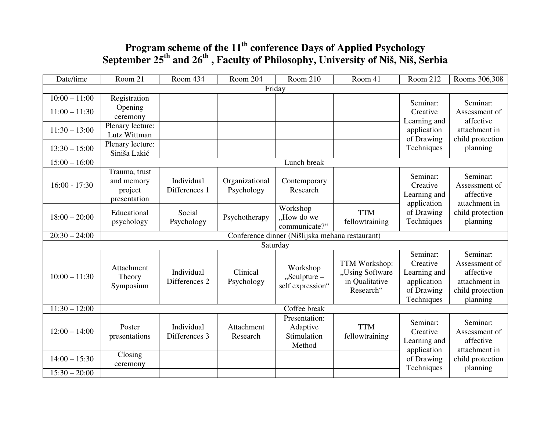# **Program scheme of the 11th conference Days of Applied Psychology September 25th and 26th , Faculty of Philosophy, University of Niš, Niš, Serbia**

| Date/time       | Room 21                                                     | Room 434      | Room 204       | <b>Room 210</b>  | Room 41         | Room 212     | Rooms 306,308    |
|-----------------|-------------------------------------------------------------|---------------|----------------|------------------|-----------------|--------------|------------------|
|                 |                                                             |               |                | Friday           |                 |              |                  |
| $10:00 - 11:00$ | Registration                                                |               |                |                  |                 | Seminar:     | Seminar:         |
| $11:00 - 11:30$ | Opening                                                     |               |                |                  |                 | Creative     | Assessment of    |
|                 | ceremony                                                    |               |                |                  |                 | Learning and | affective        |
| $11:30 - 13:00$ | Plenary lecture:                                            |               |                |                  |                 | application  | attachment in    |
|                 | Lutz Wittman                                                |               |                |                  |                 | of Drawing   | child protection |
| $13:30 - 15:00$ | Plenary lecture:                                            |               |                |                  |                 | Techniques   | planning         |
|                 | Siniša Lakić                                                |               |                |                  |                 |              |                  |
| $15:00 - 16:00$ |                                                             |               |                | Lunch break      |                 |              |                  |
|                 | Trauma, trust                                               |               |                |                  |                 | Seminar:     | Seminar:         |
| $16:00 - 17:30$ | and memory                                                  | Individual    | Organizational | Contemporary     |                 | Creative     | Assessment of    |
|                 | project                                                     | Differences 1 | Psychology     | Research         |                 | Learning and | affective        |
|                 | presentation                                                |               |                |                  |                 | application  | attachment in    |
|                 | Educational                                                 | Social        |                | Workshop         | <b>TTM</b>      | of Drawing   | child protection |
| $18:00 - 20:00$ | psychology                                                  | Psychology    | Psychotherapy  | "How do we       | fellowtraining  | Techniques   | planning         |
|                 |                                                             |               |                | communicate?"    |                 |              |                  |
| $20:30 - 24:00$ | Conference dinner (Nišlijska mehana restaurant)<br>Saturday |               |                |                  |                 |              |                  |
|                 |                                                             |               |                |                  |                 |              |                  |
|                 |                                                             |               |                |                  |                 | Seminar:     | Seminar:         |
|                 | Attachment                                                  |               |                | Workshop         | TTM Workshop:   | Creative     | Assessment of    |
| $10:00 - 11:30$ | Theory                                                      | Individual    | Clinical       | $,$ Sculpture –  | "Using Software | Learning and | affective        |
|                 | Symposium                                                   | Differences 2 | Psychology     | self expression" | in Qualitative  | application  | attachment in    |
|                 |                                                             |               |                |                  | Research"       | of Drawing   | child protection |
|                 |                                                             |               |                |                  |                 | Techniques   | planning         |
| $11:30 - 12:00$ |                                                             |               |                | Coffee break     |                 |              |                  |
|                 |                                                             |               |                | Presentation:    |                 | Seminar:     | Seminar:         |
| $12:00 - 14:00$ | Poster                                                      | Individual    | Attachment     | Adaptive         | <b>TTM</b>      | Creative     | Assessment of    |
|                 | presentations                                               | Differences 3 | Research       | Stimulation      | fellowtraining  | Learning and | affective        |
|                 |                                                             |               |                | Method           |                 | application  | attachment in    |
| $14:00 - 15:30$ | Closing                                                     |               |                |                  |                 | of Drawing   | child protection |
|                 | ceremony                                                    |               |                |                  |                 | Techniques   | planning         |
| $15:30 - 20:00$ |                                                             |               |                |                  |                 |              |                  |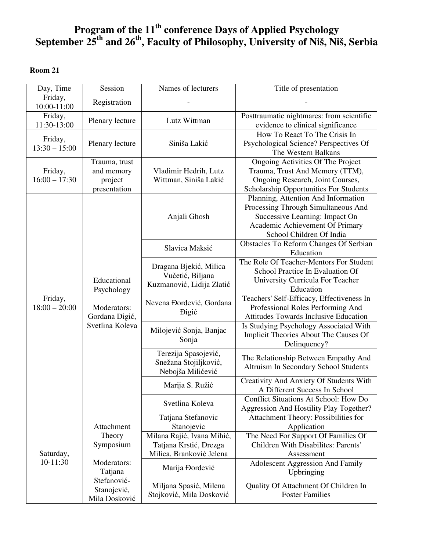# **Program of the 11th conference Days of Applied Psychology September 25th and 26th, Faculty of Philosophy, University of Niš, Niš, Serbia**

### **Room 21**

| Day, Time                  | Session                                                                       | Names of lecturers                                                               | Title of presentation                                                                                                                                                       |
|----------------------------|-------------------------------------------------------------------------------|----------------------------------------------------------------------------------|-----------------------------------------------------------------------------------------------------------------------------------------------------------------------------|
| Friday,<br>10:00-11:00     | Registration                                                                  |                                                                                  |                                                                                                                                                                             |
| Friday,<br>11:30-13:00     | Plenary lecture                                                               | Lutz Wittman                                                                     | Posttraumatic nightmares: from scientific<br>evidence to clinical significance                                                                                              |
| Friday,<br>$13:30 - 15:00$ | Plenary lecture                                                               | Siniša Lakić                                                                     | How To React To The Crisis In<br>Psychological Science? Perspectives Of<br>The Western Balkans                                                                              |
| Friday,<br>$16:00 - 17:30$ | Trauma, trust<br>and memory<br>project<br>presentation                        | Vladimir Hedrih, Lutz<br>Wittman, Siniša Lakić                                   | Ongoing Activities Of The Project<br>Trauma, Trust And Memory (TTM),<br>Ongoing Research, Joint Courses,<br>Scholarship Opportunities For Students                          |
|                            |                                                                               | Anjali Ghosh                                                                     | Planning, Attention And Information<br>Processing Through Simultaneous And<br>Successive Learning: Impact On<br>Academic Achievement Of Primary<br>School Children Of India |
|                            |                                                                               | Slavica Maksić                                                                   | Obstacles To Reform Changes Of Serbian<br>Education                                                                                                                         |
| Friday,<br>$18:00 - 20:00$ | Educational<br>Psychology<br>Moderators:<br>Gordana Đigić,<br>Svetlina Koleva | Dragana Bjekić, Milica<br>Vučetić, Biljana<br>Kuzmanović, Lidija Zlatić          | The Role Of Teacher-Mentors For Student<br>School Practice In Evaluation Of<br>University Curricula For Teacher<br>Education                                                |
|                            |                                                                               | Nevena Đorđević, Gordana<br><b>Digić</b>                                         | Teachers' Self-Efficacy, Effectiveness In<br>Professional Roles Performing And<br>Attitudes Towards Inclusive Education                                                     |
|                            |                                                                               | Milojević Sonja, Banjac<br>Sonja                                                 | Is Studying Psychology Associated With<br>Implicit Theories About The Causes Of<br>Delinquency?                                                                             |
|                            |                                                                               | Terezija Spasojević,<br>Snežana Stojiljković,<br>Nebojša Milićević               | The Relationship Between Empathy And<br>Altruism In Secondary School Students                                                                                               |
|                            |                                                                               | Marija S. Ružić                                                                  | Creativity And Anxiety Of Students With<br>A Different Success In School                                                                                                    |
|                            |                                                                               | Svetlina Koleva                                                                  | <b>Conflict Situations At School: How Do</b><br>Aggression And Hostility Play Together?                                                                                     |
| Saturday,                  | Attachment                                                                    | Tatjana Stefanovic<br>Stanojevic                                                 | Attachment Theory: Possibilities for<br>Application                                                                                                                         |
|                            | Theory<br>Symposium                                                           | Milana Rajić, Ivana Mihić,<br>Tatjana Krstić, Drezga<br>Milica, Branković Jelena | The Need For Support Of Families Of<br>Children With Disabilites: Parents'<br>Assessment                                                                                    |
| 10-11:30                   | Moderators:<br>Tatjana                                                        | Marija Đorđević                                                                  | <b>Adolescent Aggression And Family</b><br>Upbringing                                                                                                                       |
|                            | Stefanović-<br>Stanojević,<br>Mila Dosković                                   | Miljana Spasić, Milena<br>Stojković, Mila Dosković                               | Quality Of Attachment Of Children In<br><b>Foster Families</b>                                                                                                              |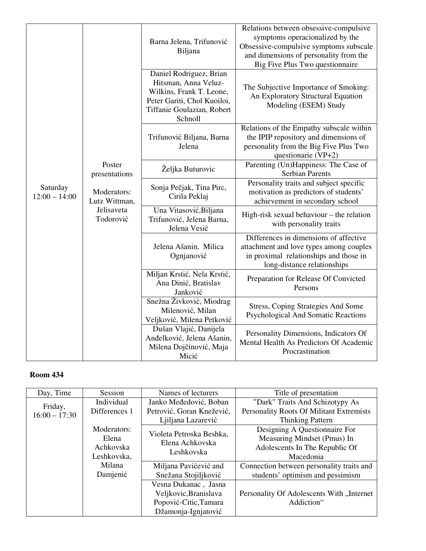|                             |                                                                                    | Barna Jelena, Trifunović<br>Biljana                                                                                                                 | Relations between obsessive-compulsive<br>symptoms operacionalized by the<br>Obsessive-compulsive symptoms subscale<br>and dimensions of personality from the<br>Big Five Plus Two questionnaire |
|-----------------------------|------------------------------------------------------------------------------------|-----------------------------------------------------------------------------------------------------------------------------------------------------|--------------------------------------------------------------------------------------------------------------------------------------------------------------------------------------------------|
| Saturday<br>$12:00 - 14:00$ | Poster<br>presentations<br>Moderators:<br>Lutz Wittman,<br>Jelisaveta<br>Todorović | Daniel Rodriguez, Brian<br>Hitsman, Anna Veluz-<br>Wilkins, Frank T. Leone,<br>Peter Gariti, Chol Kuoiloi,<br>Tiffanie Goulazian, Robert<br>Schnoll | The Subjective Importance of Smoking:<br>An Exploratory Structural Equation<br>Modeling (ESEM) Study                                                                                             |
|                             |                                                                                    | Trifunović Biljana, Barna<br>Jelena                                                                                                                 | Relations of the Empathy subscale within<br>the IPIP repository and dimensions of<br>personality from the Big Five Plus Two<br>questionarie (VP+2)                                               |
|                             |                                                                                    | Željka Buturovic                                                                                                                                    | Parenting (Un)Happiness: The Case of<br><b>Serbian Parents</b>                                                                                                                                   |
|                             |                                                                                    | Sonja Pečjak, Tina Pirc,<br>Cirila Peklaj                                                                                                           | Personality traits and subject specific<br>motivation as predictors of students'<br>achievement in secondary school                                                                              |
|                             |                                                                                    | Una Vitasović, Biljana<br>Trifunović, Jelena Barna,<br>Jelena Vesić                                                                                 | High-risk sexual behaviour – the relation<br>with personality traits                                                                                                                             |
|                             |                                                                                    | Jelena Ašanin, Milica<br>Ognjanović                                                                                                                 | Differences in dimensions of affective<br>attachment and love types among couples<br>in proximal relationships and those in<br>long-distance relationships                                       |
|                             |                                                                                    | Miljan Krstić, Nela Krstić,<br>Ana Dinić, Bratislav<br>Janković                                                                                     | Preparation for Release Of Convicted<br>Persons                                                                                                                                                  |
|                             |                                                                                    | Snežna Živković, Miodrag<br>Milenović, Milan<br>Veljković, Milena Petković                                                                          | <b>Stress, Coping Strategies And Some</b><br>Psychological And Somatic Reactions                                                                                                                 |
|                             |                                                                                    | Dušan Vlajić, Danijela<br>Anđelković, Jelena Ašanin,<br>Milena Dojčinović, Maja<br>Micić                                                            | Personality Dimensions, Indicators Of<br>Mental Health As Predictors Of Academic<br>Procrastination                                                                                              |

| Day, Time       | Session       | Names of lecturers        | Title of presentation                            |
|-----------------|---------------|---------------------------|--------------------------------------------------|
| Friday,         | Individual    | Janko Međedović, Boban    | "Dark" Traits And Schizotypy As                  |
| $16:00 - 17:30$ | Differences 1 | Petrović, Goran Knežević, | Personality Roots Of Militant Extremists         |
|                 |               | Ljiljana Lazarević        | <b>Thinking Pattern</b>                          |
|                 | Moderators:   | Violeta Petroska Beshka,  | Designing A Questionnaire For                    |
|                 | Elena         | Elena Achkovska           | Measuring Mindset (Pmus) In                      |
|                 | Achkovska     | Leshkovska                | Adolescents In The Republic Of                   |
|                 | Leshkovska,   |                           | Macedonia                                        |
|                 | Milana        | Miljana Pavićević and     | Connection between personality traits and        |
|                 | Damjenić      | Snežana Stojiljković      | students' optimism and pessimism                 |
|                 |               | Vesna Dukanac, Jasna      |                                                  |
|                 |               | Veljkovic, Branislava     | <b>Personality Of Adolescents With "Internet</b> |
|                 |               | Popović-Citic, Tamara     | Addiction"                                       |
|                 |               | Džamonja-Ignjatović       |                                                  |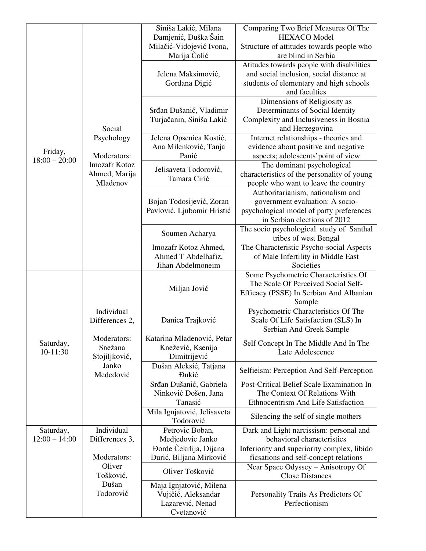|                 |                           | Siniša Lakić, Milana                     | Comparing Two Brief Measures Of The                                       |
|-----------------|---------------------------|------------------------------------------|---------------------------------------------------------------------------|
|                 |                           | Damjenić, Duška Šain                     | <b>HEXACO</b> Model                                                       |
|                 |                           | Milačić-Vidojević Ivona,                 | Structure of attitudes towards people who                                 |
|                 |                           | Marija Čolić                             | are blind in Serbia                                                       |
|                 |                           |                                          | Atitudes towards people with disabilities                                 |
|                 |                           | Jelena Maksimović,                       | and social inclusion, social distance at                                  |
|                 |                           | Gordana Đigić                            | students of elementary and high schools                                   |
|                 |                           |                                          | and faculties                                                             |
|                 |                           |                                          | Dimensions of Religiosity as                                              |
|                 |                           | Srđan Dušanić, Vladimir                  | Determinants of Social Identity                                           |
|                 |                           | Turjačanin, Siniša Lakić                 | Complexity and Inclusiveness in Bosnia                                    |
|                 | Social                    |                                          | and Herzegovina                                                           |
|                 | Psychology                | Jelena Opsenica Kostić,                  | Internet relationships - theories and                                     |
| Friday,         |                           | Ana Milenković, Tanja                    | evidence about positive and negative                                      |
| $18:00 - 20:00$ | Moderators:               | Panić                                    | aspects; adolescents' point of view                                       |
|                 | Imozafr Kotoz             | Jelisaveta Todorović,                    | The dominant psychological                                                |
|                 | Ahmed, Marija<br>Mladenov | Tamara Cirić                             | characteristics of the personality of young                               |
|                 |                           |                                          | people who want to leave the country<br>Authoritarianism, nationalism and |
|                 |                           | Bojan Todosijević, Zoran                 | government evaluation: A socio-                                           |
|                 |                           | Pavlović, Ljubomir Hristić               | psychological model of party preferences                                  |
|                 |                           |                                          | in Serbian elections of 2012                                              |
|                 |                           |                                          | The socio psychological study of Santhal                                  |
|                 |                           | Soumen Acharya                           | tribes of west Bengal                                                     |
|                 |                           | Imozafr Kotoz Ahmed,                     | The Characteristic Psycho-social Aspects                                  |
|                 |                           | Ahmed T Abdelhafiz,                      | of Male Infertility in Middle East                                        |
|                 |                           | Jihan Abdelmoneim                        | Societies                                                                 |
|                 |                           |                                          | Some Psychometric Characteristics Of                                      |
|                 |                           | Miljan Jović                             | The Scale Of Perceived Social Self-                                       |
|                 |                           |                                          | Efficacy (PSSE) In Serbian And Albanian                                   |
|                 |                           |                                          | Sample                                                                    |
|                 | Individual                |                                          | Psychometric Characteristics Of The                                       |
|                 | Differences 2,            | Danica Trajković                         | Scale Of Life Satisfaction (SLS) In                                       |
|                 |                           |                                          | Serbian And Greek Sample                                                  |
| Saturday,       | Moderators:               | Katarina Mladenović, Petar               | Self Concept In The Middle And In The                                     |
| 10-11:30        | Snežana<br>Stojiljković,  | Knežević, Ksenija                        | Late Adolescence                                                          |
|                 | Janko                     | Dimitrijević<br>Dušan Aleksić, Tatjana   |                                                                           |
|                 | Međedović                 | <b>Dukić</b>                             | Selfieism: Perception And Self-Perception                                 |
|                 |                           | Srđan Dušanić, Gabriela                  | Post-Critical Belief Scale Examination In                                 |
|                 |                           | Ninković Došen, Jana                     | The Context Of Relations With                                             |
|                 |                           | Tanasić                                  | Ethnocentrism And Life Satisfaction                                       |
|                 |                           | Mila Ignjatović, Jelisaveta<br>Todorović | Silencing the self of single mothers                                      |
| Saturday,       | Individual                | Petrovic Boban,                          | Dark and Light narcissism: personal and                                   |
| $12:00 - 14:00$ | Differences 3,            | Medjedovic Janko                         | behavioral characteristics                                                |
|                 |                           | Đorđe Čekrlija, Dijana                   | Inferiority and superiority complex, libido                               |
|                 | Moderators:               | Đurić, Biljana Mirković                  | ficsations and self-concept relations                                     |
|                 | Oliver                    | Oliver Tošković                          | Near Space Odyssey - Anisotropy Of                                        |
|                 | Tošković,                 |                                          | <b>Close Distances</b>                                                    |
|                 | Dušan                     | Maja Ignjatović, Milena                  |                                                                           |
|                 | Todorović                 | Vujičić, Aleksandar                      | Personality Traits As Predictors Of                                       |
|                 |                           | Lazarević, Nenad                         | Perfectionism                                                             |
|                 |                           | Cvetanović                               |                                                                           |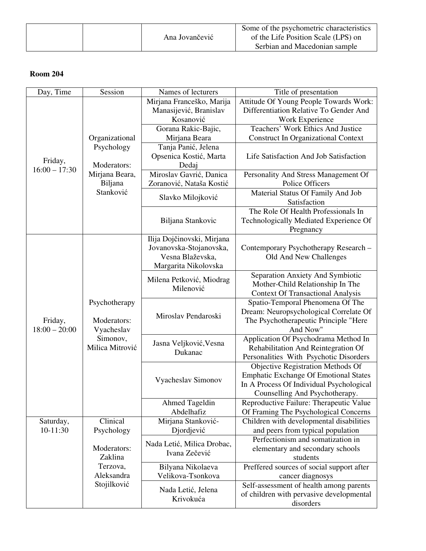|  |  | Ana Jovančević | Some of the psychometric characteristics<br>of the Life Position Scale (LPS) on<br>Serbian and Macedonian sample |
|--|--|----------------|------------------------------------------------------------------------------------------------------------------|
|--|--|----------------|------------------------------------------------------------------------------------------------------------------|

| Day, Time                  | Session                                                                   | Names of lecturers                    | Title of presentation                             |
|----------------------------|---------------------------------------------------------------------------|---------------------------------------|---------------------------------------------------|
|                            |                                                                           | Mirjana Franceško, Marija             | Attitude Of Young People Towards Work:            |
|                            |                                                                           | Manasijević, Branislav                | Differentiation Relative To Gender And            |
|                            |                                                                           | Kosanović                             | Work Experience                                   |
|                            |                                                                           | Gorana Rakic-Bajic,                   | Teachers' Work Ethics And Justice                 |
|                            | Organizational                                                            | Mirjana Beara                         | <b>Construct In Organizational Context</b>        |
|                            | Psychology                                                                | Tanja Panić, Jelena                   |                                                   |
| Friday,                    |                                                                           | Opsenica Kostić, Marta                | Life Satisfaction And Job Satisfaction            |
| $16:00 - 17:30$            | Moderators:                                                               | Dedaj                                 |                                                   |
|                            | Mirjana Beara,                                                            | Miroslav Gavrić, Danica               | Personality And Stress Management Of              |
|                            | Biljana                                                                   | Zoranović, Nataša Kostić              | Police Officers                                   |
|                            | Stanković                                                                 | Slavko Milojković                     | Material Status Of Family And Job                 |
|                            |                                                                           |                                       | Satisfaction                                      |
|                            |                                                                           |                                       | The Role Of Health Professionals In               |
|                            |                                                                           | Biljana Stankovic                     | Technologically Mediated Experience Of            |
|                            |                                                                           |                                       | Pregnancy                                         |
|                            |                                                                           | Ilija Dojčinovski, Mirjana            |                                                   |
|                            |                                                                           | Jovanovska-Stojanovska,               | Contemporary Psychotherapy Research -             |
|                            |                                                                           | Vesna Blaževska,                      | Old And New Challenges                            |
|                            | Psychotherapy<br>Moderators:<br>Vyacheslav<br>Simonov,<br>Milica Mitrović | Margarita Nikolovska                  |                                                   |
|                            |                                                                           | Milena Petković, Miodrag<br>Milenović | Separation Anxiety And Symbiotic                  |
|                            |                                                                           |                                       | Mother-Child Relationship In The                  |
|                            |                                                                           |                                       | <b>Context Of Transactional Analysis</b>          |
| Friday,<br>$18:00 - 20:00$ |                                                                           | Miroslav Pendaroski                   | Spatio-Temporal Phenomena Of The                  |
|                            |                                                                           |                                       | Dream: Neuropsychological Correlate Of            |
|                            |                                                                           |                                       | The Psychotherapeutic Principle "Here<br>And Now" |
|                            |                                                                           | Jasna Veljković, Vesna<br>Dukanac     | Application Of Psychodrama Method In              |
|                            |                                                                           |                                       | Rehabilitation And Reintegration Of               |
|                            |                                                                           |                                       | Personalities With Psychotic Disorders            |
|                            |                                                                           |                                       | Objective Registration Methods Of                 |
|                            |                                                                           |                                       | <b>Emphatic Exchange Of Emotional States</b>      |
|                            |                                                                           | Vyacheslav Simonov                    | In A Process Of Individual Psychological          |
|                            |                                                                           |                                       | Counselling And Psychotherapy.                    |
|                            |                                                                           | <b>Ahmed Tageldin</b>                 | Reproductive Failure: Therapeutic Value           |
|                            |                                                                           | Abdelhafiz                            | Of Framing The Psychological Concerns             |
| Saturday,                  | Clinical                                                                  | Mirjana Stanković-                    | Children with developmental disabilities          |
| 10-11:30                   | Psychology                                                                | Djordjević                            | and peers from typical population                 |
|                            |                                                                           |                                       | Perfectionism and somatization in                 |
|                            | Moderators:                                                               | Nada Letić, Milica Drobac,            | elementary and secondary schools                  |
|                            | Zaklina                                                                   | Ivana Zečević                         | students                                          |
|                            | Terzova,                                                                  | Bilyana Nikolaeva                     | Preffered sources of social support after         |
|                            | Aleksandra                                                                | Velikova-Tsonkova                     | cancer diagnosys                                  |
|                            | Stojilković                                                               |                                       | Self-assessment of health among parents           |
|                            |                                                                           | Nada Letić, Jelena                    | of children with pervasive developmental          |
|                            |                                                                           | Krivokuća                             | disorders                                         |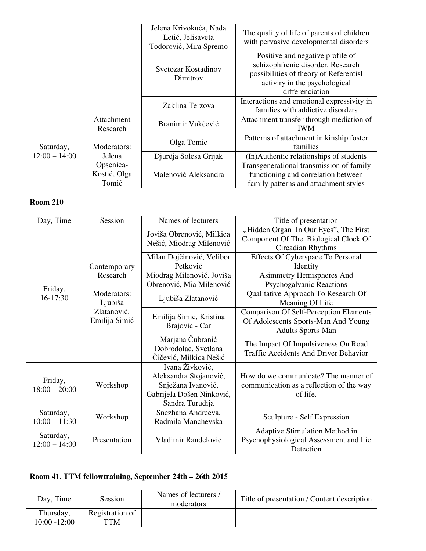|                              |                        | Jelena Krivokuća, Nada<br>Letić, Jelisaveta<br>Todorović, Mira Spremo | The quality of life of parents of children<br>with pervasive developmental disorders                                                                                |
|------------------------------|------------------------|-----------------------------------------------------------------------|---------------------------------------------------------------------------------------------------------------------------------------------------------------------|
|                              |                        | Svetozar Kostadinov<br>Dimitrov                                       | Positive and negative profile of<br>schizophfrenic disorder. Research<br>possibilities of theory of Referentisl<br>activiry in the psychological<br>differenciation |
|                              |                        | Zaklina Terzova                                                       | Interactions and emotional expressivity in<br>families with addictive disorders                                                                                     |
|                              | Attachment<br>Research | Branimir Vukčević                                                     | Attachment transfer through mediation of<br><b>IWM</b>                                                                                                              |
| Saturday,<br>$12:00 - 14:00$ | Moderators:            | Olga Tomic                                                            | Patterns of attachment in kinship foster<br>families                                                                                                                |
|                              | Jelena                 | Djurdja Solesa Grijak                                                 | (In)Authentic relationships of students                                                                                                                             |
|                              | Opsenica-              |                                                                       | Transgenerational transmission of family                                                                                                                            |
|                              | Kostić, Olga           | Malenović Aleksandra                                                  | functioning and correlation between                                                                                                                                 |
|                              | Tomić                  |                                                                       | family patterns and attachment styles                                                                                                                               |

| Day, Time                    | Session                      | Names of lecturers                                                                                              | Title of presentation                                                                                            |
|------------------------------|------------------------------|-----------------------------------------------------------------------------------------------------------------|------------------------------------------------------------------------------------------------------------------|
|                              |                              | Joviša Obrenović, Milkica<br>Nešić, Miodrag Milenović                                                           | "Hidden Organ In Our Eyes", The First<br>Component Of The Biological Clock Of<br>Circadian Rhythms               |
|                              | Contemporary                 | Milan Dojčinović, Velibor<br>Petković                                                                           | Effects Of Cyberspace To Personal<br>Identity                                                                    |
|                              | Research                     | Miodrag Milenović. Joviša<br>Obrenović, Mia Milenović                                                           | Asimmetry Hemispheres And<br>Psychogalvanic Reactions                                                            |
| Friday,<br>16-17:30          | Moderators:<br>Ljubiša       | Ljubiša Zlatanović                                                                                              | Qualitative Approach To Research Of<br>Meaning Of Life                                                           |
|                              | Zlatanović,<br>Emilija Simić | Emilija Simic, Kristina<br>Brajovic - Car                                                                       | <b>Comparison Of Self-Perception Elements</b><br>Of Adolescents Sports-Man And Young<br><b>Adults Sports-Man</b> |
|                              |                              | Marjana Čubranić<br>Dobrodolac, Svetlana<br>Čičević, Milkica Nešić                                              | The Impact Of Impulsiveness On Road<br><b>Traffic Accidents And Driver Behavior</b>                              |
| Friday,<br>$18:00 - 20:00$   | Workshop                     | Ivana Živković,<br>Aleksandra Stojanović,<br>Snježana Ivanović,<br>Gabrijela Došen Ninković,<br>Sandra Turudija | How do we communicate? The manner of<br>communication as a reflection of the way<br>of life.                     |
| Saturday,<br>$10:00 - 11:30$ | Workshop                     | Snezhana Andreeva,<br>Radmila Manchevska                                                                        | Sculpture - Self Expression                                                                                      |
| Saturday,<br>$12:00 - 14:00$ | Presentation                 | Vladimir Ranđelović                                                                                             | Adaptive Stimulation Method in<br>Psychophysiological Assessment and Lie<br>Detection                            |

# **Room 41, TTM fellowtraining, September 24th – 26th 2015**

| Day, Time                    | Session                | Names of lecturers /<br>moderators | Title of presentation / Content description |
|------------------------------|------------------------|------------------------------------|---------------------------------------------|
| Thursday,<br>$10:00 - 12:00$ | Registration of<br>TTM | -                                  | -                                           |